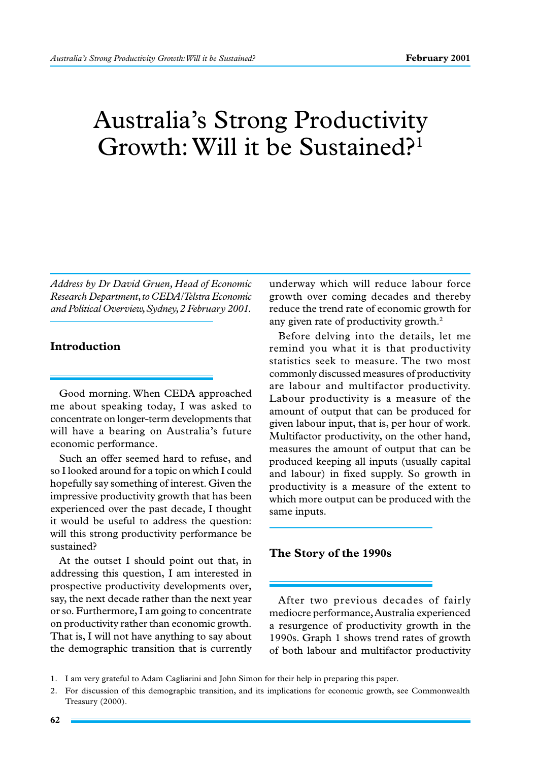# Australia's Strong Productivity Growth: Will it be Sustained?1

*Address by Dr David Gruen, Head of Economic Research Department, to CEDA/Telstra Economic and Political Overview, Sydney, 2 February 2001.*

## **Introduction**

Good morning. When CEDA approached me about speaking today, I was asked to concentrate on longer-term developments that will have a bearing on Australia's future economic performance.

Such an offer seemed hard to refuse, and so I looked around for a topic on which I could hopefully say something of interest. Given the impressive productivity growth that has been experienced over the past decade, I thought it would be useful to address the question: will this strong productivity performance be sustained?

At the outset I should point out that, in addressing this question, I am interested in prospective productivity developments over, say, the next decade rather than the next year or so. Furthermore, I am going to concentrate on productivity rather than economic growth. That is, I will not have anything to say about the demographic transition that is currently underway which will reduce labour force growth over coming decades and thereby reduce the trend rate of economic growth for any given rate of productivity growth.<sup>2</sup>

Before delving into the details, let me remind you what it is that productivity statistics seek to measure. The two most commonly discussed measures of productivity are labour and multifactor productivity. Labour productivity is a measure of the amount of output that can be produced for given labour input, that is, per hour of work. Multifactor productivity, on the other hand, measures the amount of output that can be produced keeping all inputs (usually capital and labour) in fixed supply. So growth in productivity is a measure of the extent to which more output can be produced with the same inputs.

## **The Story of the 1990s**

After two previous decades of fairly mediocre performance, Australia experienced a resurgence of productivity growth in the 1990s. Graph 1 shows trend rates of growth of both labour and multifactor productivity

<sup>1.</sup> I am very grateful to Adam Cagliarini and John Simon for their help in preparing this paper.

<sup>2.</sup> For discussion of this demographic transition, and its implications for economic growth, see Commonwealth Treasury (2000).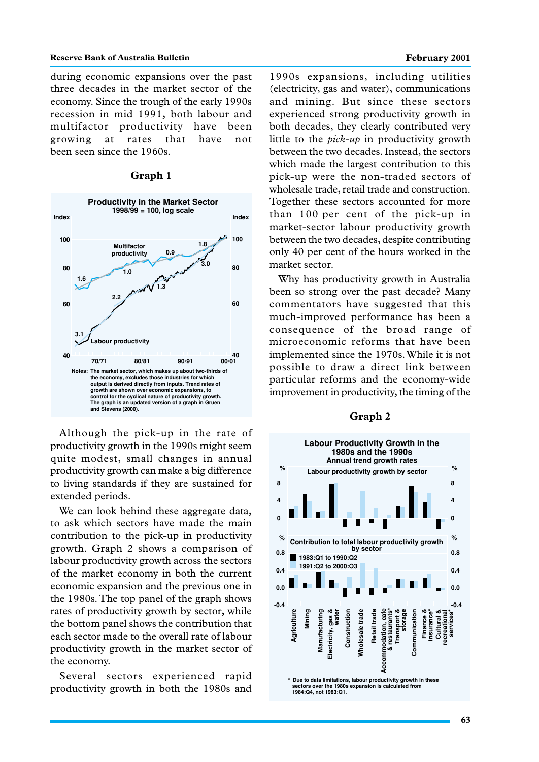#### **Reserve Bank of Australia Bulletin February 2001 February 2001**

during economic expansions over the past three decades in the market sector of the economy. Since the trough of the early 1990s recession in mid 1991, both labour and multifactor productivity have been growing at rates that have not been seen since the 1960s.

### **Graph 1**



Although the pick-up in the rate of productivity growth in the 1990s might seem quite modest, small changes in annual productivity growth can make a big difference to living standards if they are sustained for extended periods.

We can look behind these aggregate data, to ask which sectors have made the main contribution to the pick-up in productivity growth. Graph 2 shows a comparison of labour productivity growth across the sectors of the market economy in both the current economic expansion and the previous one in the 1980s. The top panel of the graph shows rates of productivity growth by sector, while the bottom panel shows the contribution that each sector made to the overall rate of labour productivity growth in the market sector of the economy.

Several sectors experienced rapid productivity growth in both the 1980s and

1990s expansions, including utilities (electricity, gas and water), communications and mining. But since these sectors experienced strong productivity growth in both decades, they clearly contributed very little to the *pick-up* in productivity growth between the two decades. Instead, the sectors which made the largest contribution to this pick-up were the non-traded sectors of wholesale trade, retail trade and construction. Together these sectors accounted for more than 100 per cent of the pick-up in market-sector labour productivity growth between the two decades, despite contributing only 40 per cent of the hours worked in the market sector.

Why has productivity growth in Australia been so strong over the past decade? Many commentators have suggested that this much-improved performance has been a consequence of the broad range of microeconomic reforms that have been implemented since the 1970s. While it is not possible to draw a direct link between particular reforms and the economy-wide improvement in productivity, the timing of the

#### **Graph 2**

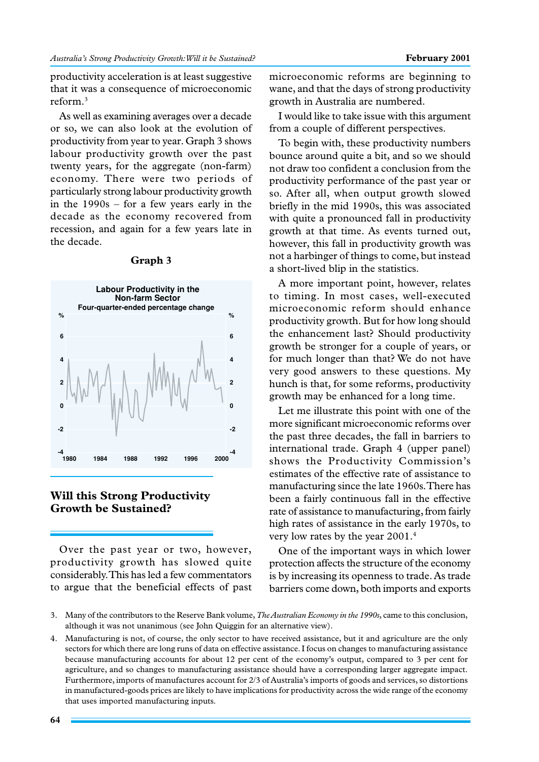productivity acceleration is at least suggestive that it was a consequence of microeconomic reform.3

As well as examining averages over a decade or so, we can also look at the evolution of productivity from year to year. Graph 3 shows labour productivity growth over the past twenty years, for the aggregate (non-farm) economy. There were two periods of particularly strong labour productivity growth in the 1990s – for a few years early in the decade as the economy recovered from recession, and again for a few years late in the decade.



### **Graph 3**

## **Will this Strong Productivity Growth be Sustained?**

Over the past year or two, however, productivity growth has slowed quite considerably. This has led a few commentators to argue that the beneficial effects of past microeconomic reforms are beginning to wane, and that the days of strong productivity growth in Australia are numbered.

I would like to take issue with this argument from a couple of different perspectives.

To begin with, these productivity numbers bounce around quite a bit, and so we should not draw too confident a conclusion from the productivity performance of the past year or so. After all, when output growth slowed briefly in the mid 1990s, this was associated with quite a pronounced fall in productivity growth at that time. As events turned out, however, this fall in productivity growth was not a harbinger of things to come, but instead a short-lived blip in the statistics.

A more important point, however, relates to timing. In most cases, well-executed microeconomic reform should enhance productivity growth. But for how long should the enhancement last? Should productivity growth be stronger for a couple of years, or for much longer than that? We do not have very good answers to these questions. My hunch is that, for some reforms, productivity growth may be enhanced for a long time.

Let me illustrate this point with one of the more significant microeconomic reforms over the past three decades, the fall in barriers to international trade. Graph 4 (upper panel) shows the Productivity Commission's estimates of the effective rate of assistance to manufacturing since the late 1960s. There has been a fairly continuous fall in the effective rate of assistance to manufacturing, from fairly high rates of assistance in the early 1970s, to very low rates by the year 2001.4

One of the important ways in which lower protection affects the structure of the economy is by increasing its openness to trade. As trade barriers come down, both imports and exports

<sup>3.</sup> Many of the contributors to the Reserve Bank volume, *The Australian Economy in the 1990s*, came to this conclusion, although it was not unanimous (see John Quiggin for an alternative view).

<sup>4.</sup> Manufacturing is not, of course, the only sector to have received assistance, but it and agriculture are the only sectors for which there are long runs of data on effective assistance. I focus on changes to manufacturing assistance because manufacturing accounts for about 12 per cent of the economy's output, compared to 3 per cent for agriculture, and so changes to manufacturing assistance should have a corresponding larger aggregate impact. Furthermore, imports of manufactures account for 2/3 of Australia's imports of goods and services, so distortions in manufactured-goods prices are likely to have implications for productivity across the wide range of the economy that uses imported manufacturing inputs.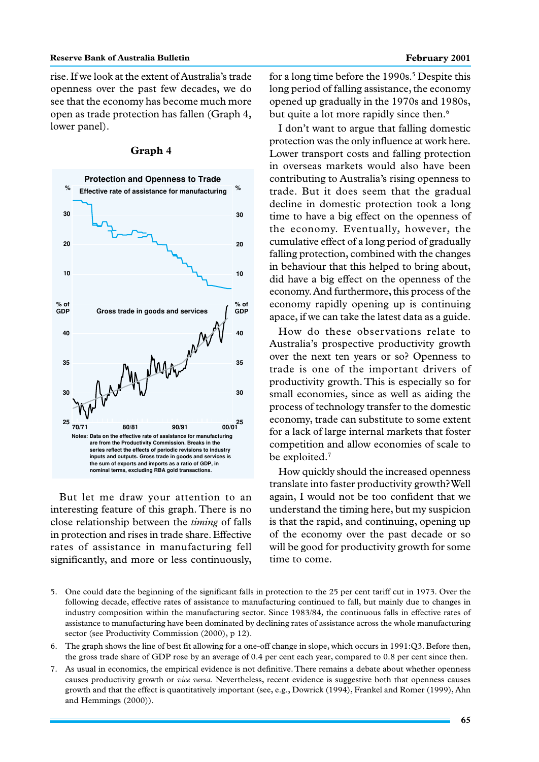rise. If we look at the extent of Australia's trade openness over the past few decades, we do see that the economy has become much more open as trade protection has fallen (Graph 4, lower panel).



#### **Graph 4**

But let me draw your attention to an interesting feature of this graph. There is no close relationship between the *timing* of falls in protection and rises in trade share. Effective rates of assistance in manufacturing fell significantly, and more or less continuously,

for a long time before the 1990s.<sup>5</sup> Despite this long period of falling assistance, the economy opened up gradually in the 1970s and 1980s, but quite a lot more rapidly since then.<sup>6</sup>

I don't want to argue that falling domestic protection was the only influence at work here. Lower transport costs and falling protection in overseas markets would also have been contributing to Australia's rising openness to trade. But it does seem that the gradual decline in domestic protection took a long time to have a big effect on the openness of the economy. Eventually, however, the cumulative effect of a long period of gradually falling protection, combined with the changes in behaviour that this helped to bring about, did have a big effect on the openness of the economy. And furthermore, this process of the economy rapidly opening up is continuing apace, if we can take the latest data as a guide.

How do these observations relate to Australia's prospective productivity growth over the next ten years or so? Openness to trade is one of the important drivers of productivity growth. This is especially so for small economies, since as well as aiding the process of technology transfer to the domestic economy, trade can substitute to some extent for a lack of large internal markets that foster competition and allow economies of scale to be exploited.<sup>7</sup>

How quickly should the increased openness translate into faster productivity growth? Well again, I would not be too confident that we understand the timing here, but my suspicion is that the rapid, and continuing, opening up of the economy over the past decade or so will be good for productivity growth for some time to come.

- 5. One could date the beginning of the significant falls in protection to the 25 per cent tariff cut in 1973. Over the following decade, effective rates of assistance to manufacturing continued to fall, but mainly due to changes in industry composition within the manufacturing sector. Since 1983/84, the continuous falls in effective rates of assistance to manufacturing have been dominated by declining rates of assistance across the whole manufacturing sector (see Productivity Commission (2000), p 12).
- 6. The graph shows the line of best fit allowing for a one-off change in slope, which occurs in 1991:Q3. Before then, the gross trade share of GDP rose by an average of 0.4 per cent each year, compared to 0.8 per cent since then.
- 7. As usual in economics, the empirical evidence is not definitive. There remains a debate about whether openness causes productivity growth or *vice versa*. Nevertheless, recent evidence is suggestive both that openness causes growth and that the effect is quantitatively important (see, e.g., Dowrick (1994), Frankel and Romer (1999), Ahn and Hemmings (2000)).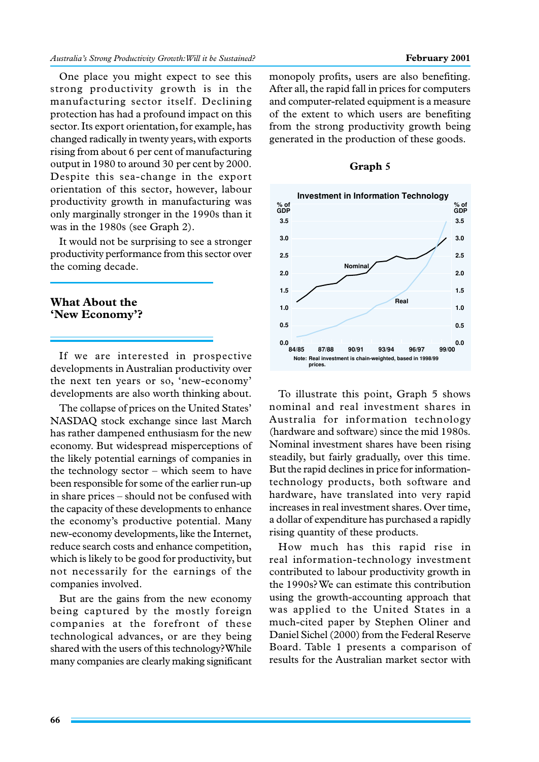One place you might expect to see this strong productivity growth is in the manufacturing sector itself. Declining protection has had a profound impact on this sector. Its export orientation, for example, has changed radically in twenty years, with exports rising from about 6 per cent of manufacturing output in 1980 to around 30 per cent by 2000. Despite this sea-change in the export orientation of this sector, however, labour productivity growth in manufacturing was only marginally stronger in the 1990s than it was in the 1980s (see Graph 2).

It would not be surprising to see a stronger productivity performance from this sector over the coming decade.

## **What About the 'New Economy'?**

If we are interested in prospective developments in Australian productivity over the next ten years or so, 'new-economy' developments are also worth thinking about.

The collapse of prices on the United States' NASDAQ stock exchange since last March has rather dampened enthusiasm for the new economy. But widespread misperceptions of the likely potential earnings of companies in the technology sector – which seem to have been responsible for some of the earlier run-up in share prices – should not be confused with the capacity of these developments to enhance the economy's productive potential. Many new-economy developments, like the Internet, reduce search costs and enhance competition, which is likely to be good for productivity, but not necessarily for the earnings of the companies involved.

But are the gains from the new economy being captured by the mostly foreign companies at the forefront of these technological advances, or are they being shared with the users of this technology? While many companies are clearly making significant

monopoly profits, users are also benefiting. After all, the rapid fall in prices for computers and computer-related equipment is a measure of the extent to which users are benefiting from the strong productivity growth being generated in the production of these goods.



**Graph 5**

To illustrate this point, Graph 5 shows nominal and real investment shares in Australia for information technology (hardware and software) since the mid 1980s. Nominal investment shares have been rising steadily, but fairly gradually, over this time. But the rapid declines in price for informationtechnology products, both software and hardware, have translated into very rapid increases in real investment shares. Over time, a dollar of expenditure has purchased a rapidly rising quantity of these products.

How much has this rapid rise in real information-technology investment contributed to labour productivity growth in the 1990s? We can estimate this contribution using the growth-accounting approach that was applied to the United States in a much-cited paper by Stephen Oliner and Daniel Sichel (2000) from the Federal Reserve Board. Table 1 presents a comparison of results for the Australian market sector with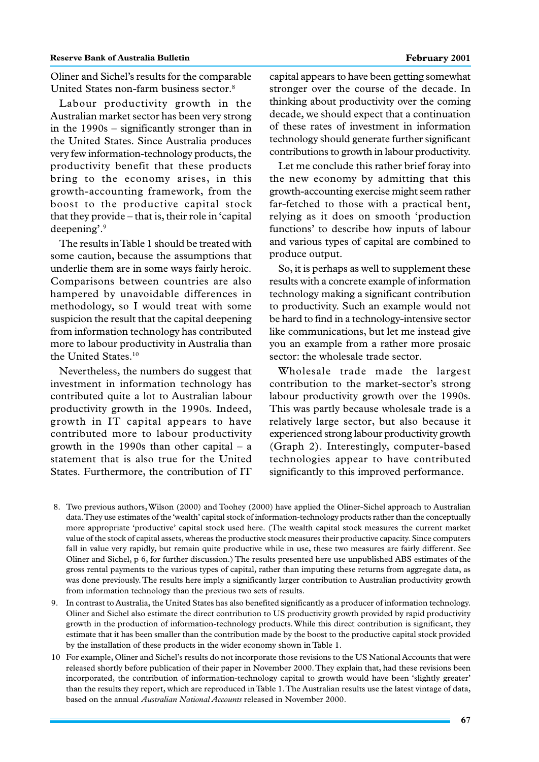Oliner and Sichel's results for the comparable United States non-farm business sector.8

Labour productivity growth in the Australian market sector has been very strong in the 1990s – significantly stronger than in the United States. Since Australia produces very few information-technology products, the productivity benefit that these products bring to the economy arises, in this growth-accounting framework, from the boost to the productive capital stock that they provide – that is, their role in 'capital deepening'.9

The results in Table 1 should be treated with some caution, because the assumptions that underlie them are in some ways fairly heroic. Comparisons between countries are also hampered by unavoidable differences in methodology, so I would treat with some suspicion the result that the capital deepening from information technology has contributed more to labour productivity in Australia than the United States.<sup>10</sup>

Nevertheless, the numbers do suggest that investment in information technology has contributed quite a lot to Australian labour productivity growth in the 1990s. Indeed, growth in IT capital appears to have contributed more to labour productivity growth in the 1990s than other capital – a statement that is also true for the United States. Furthermore, the contribution of IT

capital appears to have been getting somewhat stronger over the course of the decade. In thinking about productivity over the coming decade, we should expect that a continuation of these rates of investment in information technology should generate further significant contributions to growth in labour productivity.

Let me conclude this rather brief foray into the new economy by admitting that this growth-accounting exercise might seem rather far-fetched to those with a practical bent, relying as it does on smooth 'production functions' to describe how inputs of labour and various types of capital are combined to produce output.

So, it is perhaps as well to supplement these results with a concrete example of information technology making a significant contribution to productivity. Such an example would not be hard to find in a technology-intensive sector like communications, but let me instead give you an example from a rather more prosaic sector: the wholesale trade sector.

Wholesale trade made the largest contribution to the market-sector's strong labour productivity growth over the 1990s. This was partly because wholesale trade is a relatively large sector, but also because it experienced strong labour productivity growth (Graph 2). Interestingly, computer-based technologies appear to have contributed significantly to this improved performance.

- 8. Two previous authors, Wilson (2000) and Toohey (2000) have applied the Oliner-Sichel approach to Australian data. They use estimates of the 'wealth' capital stock of information-technology products rather than the conceptually more appropriate 'productive' capital stock used here. (The wealth capital stock measures the current market value of the stock of capital assets, whereas the productive stock measures their productive capacity. Since computers fall in value very rapidly, but remain quite productive while in use, these two measures are fairly different. See Oliner and Sichel, p 6, for further discussion.) The results presented here use unpublished ABS estimates of the gross rental payments to the various types of capital, rather than imputing these returns from aggregate data, as was done previously. The results here imply a significantly larger contribution to Australian productivity growth from information technology than the previous two sets of results.
- 9. In contrast to Australia, the United States has also benefited significantly as a producer of information technology. Oliner and Sichel also estimate the direct contribution to US productivity growth provided by rapid productivity growth in the production of information-technology products. While this direct contribution is significant, they estimate that it has been smaller than the contribution made by the boost to the productive capital stock provided by the installation of these products in the wider economy shown in Table 1.
- 10 For example, Oliner and Sichel's results do not incorporate those revisions to the US National Accounts that were released shortly before publication of their paper in November 2000. They explain that, had these revisions been incorporated, the contribution of information-technology capital to growth would have been 'slightly greater' than the results they report, which are reproduced in Table 1. The Australian results use the latest vintage of data, based on the annual *Australian National Accounts* released in November 2000.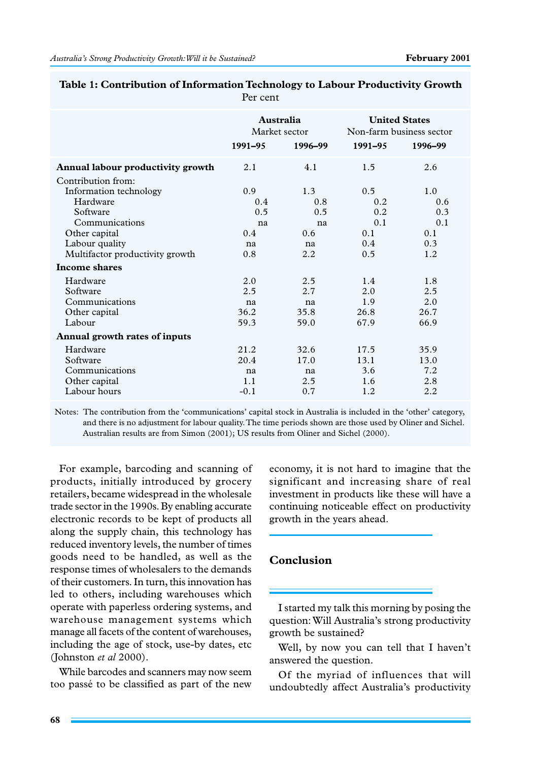|                                   | Australia<br>Market sector |         | <b>United States</b><br>Non-farm business sector |         |
|-----------------------------------|----------------------------|---------|--------------------------------------------------|---------|
|                                   | 1991-95                    | 1996-99 | 1991-95                                          | 1996-99 |
| Annual labour productivity growth | 2.1                        | 4.1     | 1.5                                              | 2.6     |
| Contribution from:                |                            |         |                                                  |         |
| Information technology            | 0.9                        | 1.3     | $0.5^{\circ}$                                    | 1.0     |
| Hardware                          | 0.4                        | 0.8     | 0.2                                              | 0.6     |
| Software                          | 0.5                        | 0.5     | 0.2                                              | 0.3     |
| Communications                    | na                         | na      | 0.1                                              | 0.1     |
| Other capital                     | 0.4                        | 0.6     | 0.1                                              | 0.1     |
| Labour quality                    | na                         | na      | 0.4                                              | 0.3     |
| Multifactor productivity growth   | 0.8                        | 2.2     | 0.5                                              | 1.2     |
| <b>Income shares</b>              |                            |         |                                                  |         |
| Hardware                          | 2.0                        | 2.5     | 1.4                                              | 1.8     |
| Software                          | 2.5                        | 2.7     | 2.0                                              | 2.5     |
| Communications                    | na                         | na      | 1.9                                              | 2.0     |
| Other capital                     | 36.2                       | 35.8    | 26.8                                             | 26.7    |
| Labour                            | 59.3                       | 59.0    | 67.9                                             | 66.9    |
| Annual growth rates of inputs     |                            |         |                                                  |         |
| Hardware                          | 21.2                       | 32.6    | 17.5                                             | 35.9    |
| Software                          | 20.4                       | 17.0    | 13.1                                             | 13.0    |
| Communications                    | na                         | na      | 3.6                                              | 7.2     |
| Other capital                     | 1.1                        | 2.5     | 1.6                                              | 2.8     |
| Labour hours                      | $-0.1$                     | 0.7     | 1.2                                              | 2.2     |

| Table 1: Contribution of Information Technology to Labour Productivity Growth |  |
|-------------------------------------------------------------------------------|--|
| Per cent                                                                      |  |

Notes: The contribution from the 'communications' capital stock in Australia is included in the 'other' category, and there is no adjustment for labour quality. The time periods shown are those used by Oliner and Sichel. Australian results are from Simon (2001); US results from Oliner and Sichel (2000).

For example, barcoding and scanning of products, initially introduced by grocery retailers, became widespread in the wholesale trade sector in the 1990s. By enabling accurate electronic records to be kept of products all along the supply chain, this technology has reduced inventory levels, the number of times goods need to be handled, as well as the response times of wholesalers to the demands of their customers. In turn, this innovation has led to others, including warehouses which operate with paperless ordering systems, and warehouse management systems which manage all facets of the content of warehouses, including the age of stock, use-by dates, etc (Johnston *et al* 2000).

While barcodes and scanners may now seem too passé to be classified as part of the new

economy, it is not hard to imagine that the significant and increasing share of real investment in products like these will have a continuing noticeable effect on productivity growth in the years ahead.

# **Conclusion**

I started my talk this morning by posing the question: Will Australia's strong productivity growth be sustained?

Well, by now you can tell that I haven't answered the question.

Of the myriad of influences that will undoubtedly affect Australia's productivity